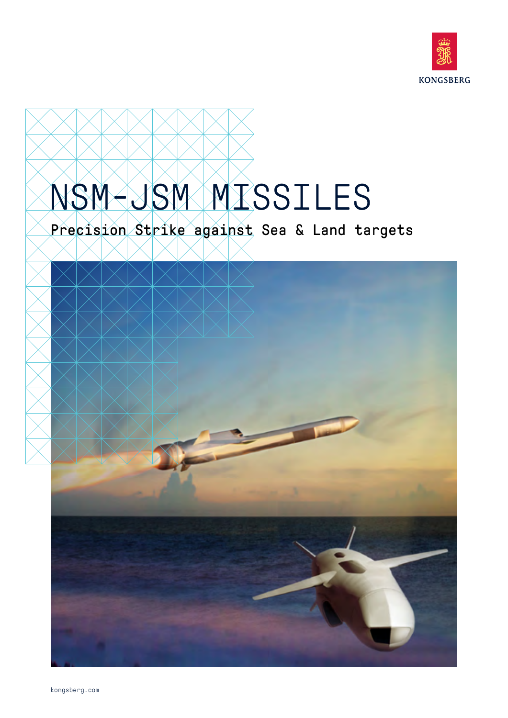

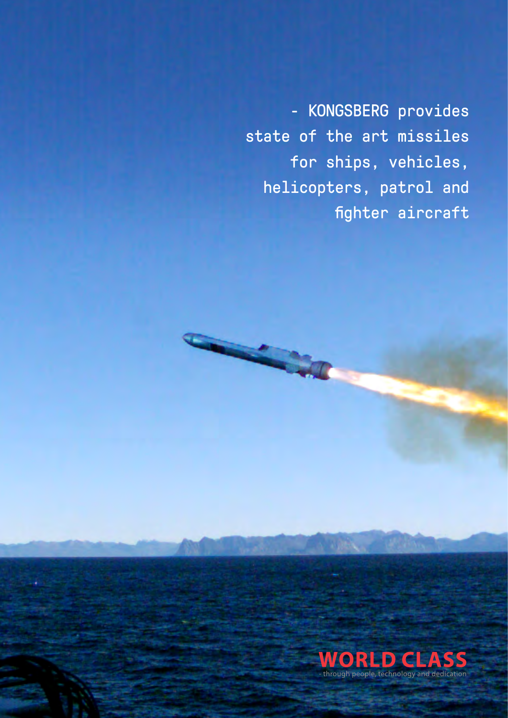- KONGSBERG provides state of the art missiles for ships, vehicles, helicopters, patrol and fighter aircraft



KONGSBERG – NSM 31 ANGEL – NSM 31 ANGEL – NSM 31 ANGEL – NSM 31 ANGEL – NSM 31 ANGEL – NSM 31 ANGEL – NSM 31 ANGEL – NSM 31 ANGEL – NSM 31 ANGEL – NSM 31 ANGEL – NSM 31 ANGEL – NSM 31 ANGEL – NSM 31 ANGEL – NSM 31 ANGEL –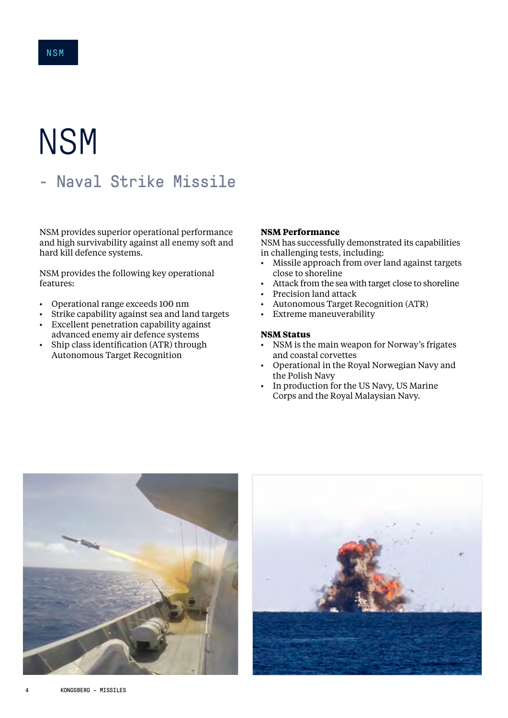# NSM

# Naval Strike Missile

NSM provides superior operational performance and high survivability against all enemy soft and hard kill defence systems.

NSM provides the following key operational features:

- Operational range exceeds 100 nm
- Strike capability against sea and land targets
- Excellent penetration capability against advanced enemy air defence systems
- Ship class identification (ATR) through Autonomous Target Recognition

## **NSM Performance**

NSM has successfully demonstrated its capabilities in challenging tests, including:

- Missile approach from over land against targets close to shoreline
- Attack from the sea with target close to shoreline
- Precision land attack
- Autonomous Target Recognition (ATR)
- **Extreme maneuverability**

### **NSM Status**

- NSM is the main weapon for Norway's frigates and coastal corvettes
- Operational in the Royal Norwegian Navy and the Polish Navy
- In production for the US Navy, US Marine Corps and the Royal Malaysian Navy.



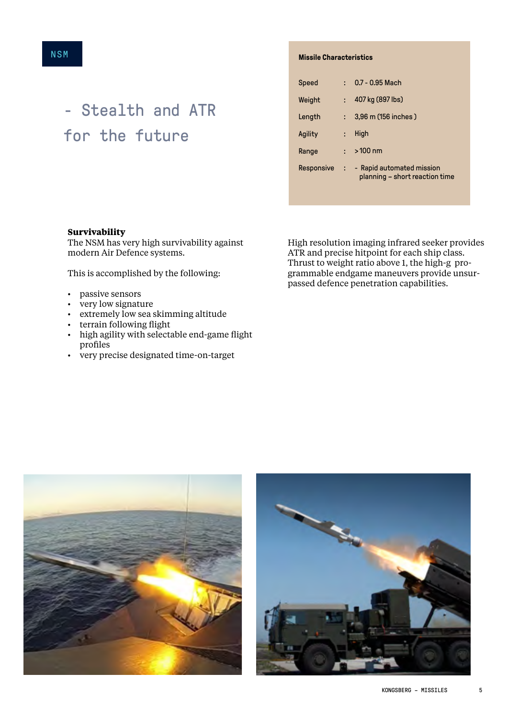# - Stealth and ATR for the future

#### **Missile Characteristics**

| Speed      | ÷.             | $0.7 - 0.95$ Mach                                           |
|------------|----------------|-------------------------------------------------------------|
| Weight     | t              | 407 kg (897 lbs)                                            |
| Length     | ċ.             | 3,96 m (156 inches)                                         |
| Agility    | ÷.             | High                                                        |
| Range      | ٠              | $>100$ nm                                                   |
| Responsive | $\sim 10^{-1}$ | - Rapid automated mission<br>planning - short reaction time |

## **Survivability**

The NSM has very high survivability against modern Air Defence systems.

This is accomplished by the following:

- passive sensors
- very low signature
- extremely low sea skimming altitude
- terrain following flight
- high agility with selectable end-game flight profiles
- very precise designated time-on-target

High resolution imaging infrared seeker provides ATR and precise hitpoint for each ship class. Thrust to weight ratio above 1, the high-g programmable endgame maneuvers provide unsurpassed defence penetration capabilities.



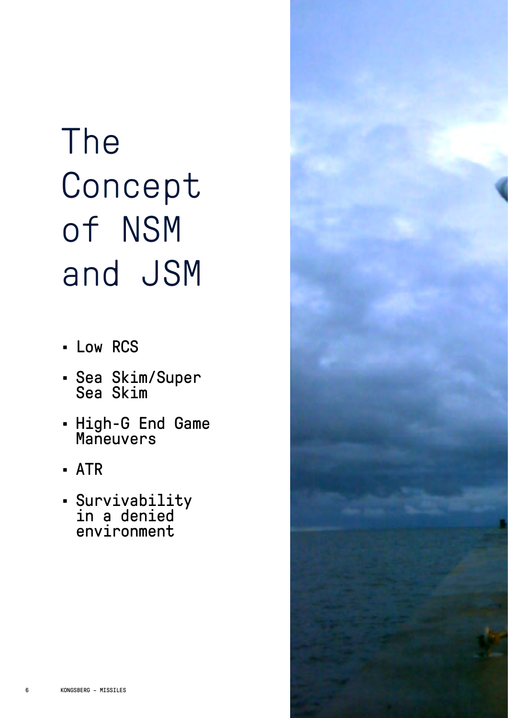# The Concept of NSM and JSM

- Low RCS
- Sea Skim/Super Sea Skim
- High-G End Game Maneuvers
- ATR
- Survivability in a denied environment

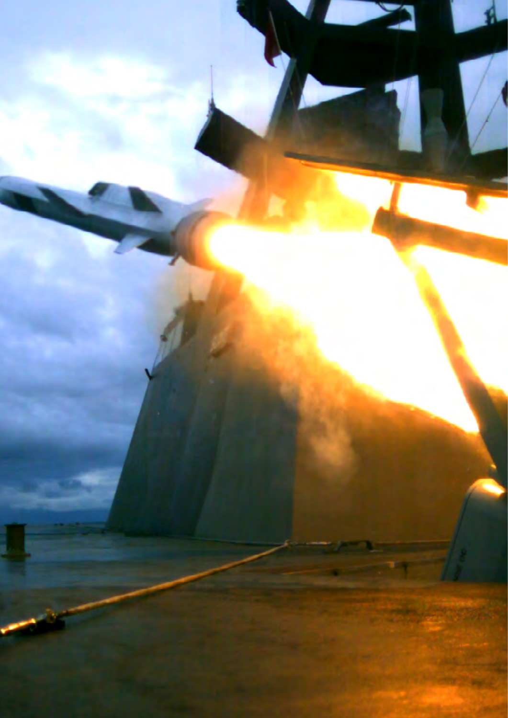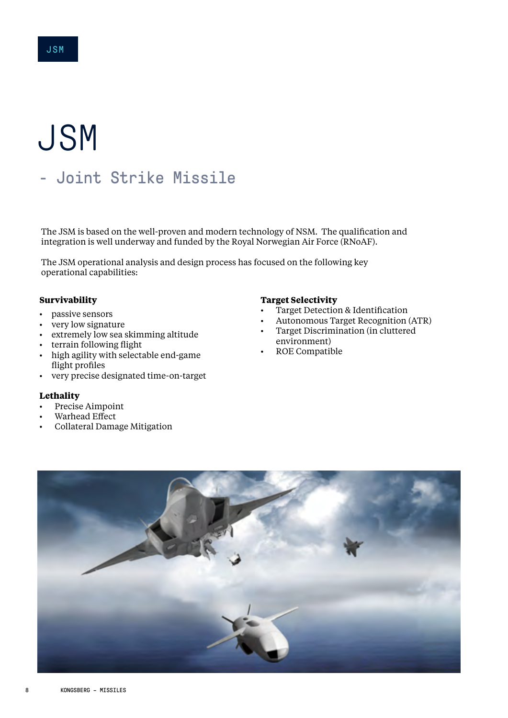# JSM

## - Joint Strike Missile

The JSM is based on the well-proven and modern technology of NSM. The qualification and integration is well underway and funded by the Royal Norwegian Air Force (RNoAF).

The JSM operational analysis and design process has focused on the following key operational capabilities:

## **Survivability**

- passive sensors
- very low signature
- extremely low sea skimming altitude
- terrain following flight
- high agility with selectable end-game flight profiles
- very precise designated time-on-target

#### **Lethality**

- Precise Aimpoint
- Warhead Effect
- Collateral Damage Mitigation

#### **Target Selectivity**

- Target Detection & Identification
- Autonomous Target Recognition (ATR)
- Target Discrimination (in cluttered environment)
- ROE Compatible

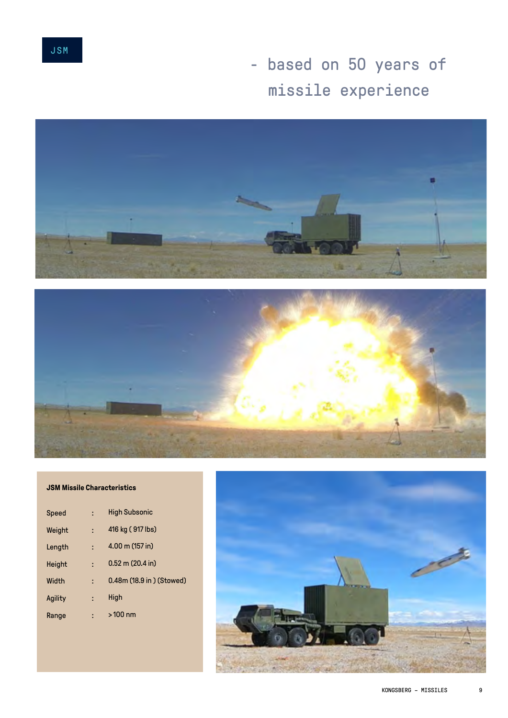# - based on 50 years of missile experience





## **JSM Missile Characteristics**

| Speed   |    | <b>High Subsonic</b>      |
|---------|----|---------------------------|
| Weight  | ÷. | 416 kg (917 lbs)          |
| Length  |    | 4.00 m (157 in)           |
| Height  |    | $0.52$ m $(20.4)$ in      |
| Width   | ÷  | 0.48m (18.9 in ) (Stowed) |
| Agility |    | High                      |
| Range   |    | >100 nm                   |

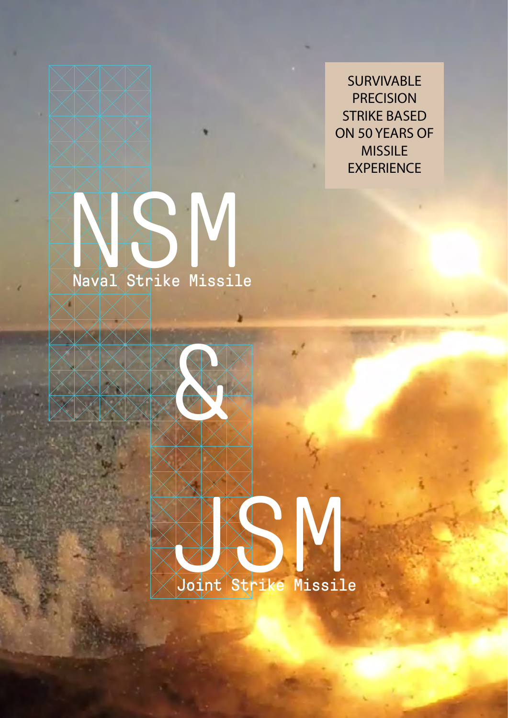SURVIVABLE PRECISION STRIKE BASED ON 50 YEARS OF MISSILE **EXPERIENCE** 

# NS M Naval Strike Missile



**BERTHERN**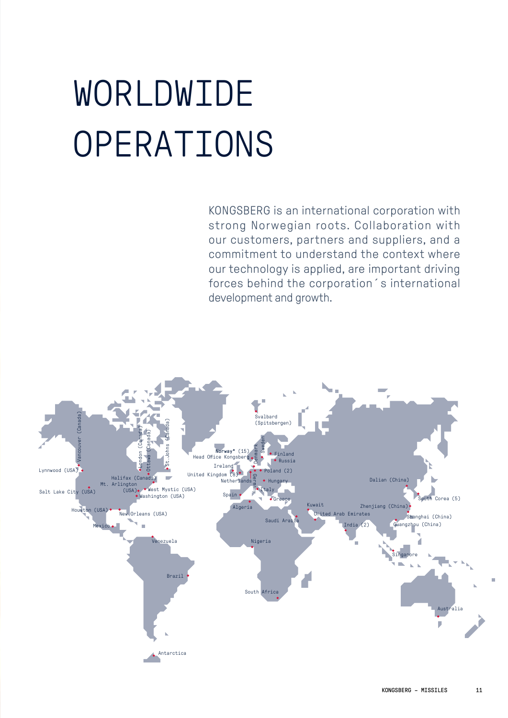# WORLDWIDE OPERATIONS

KONGSBERG is an international corporation with strong Norwegian roots. Collaboration with our customers, partners and suppliers, and a commitment to understand the context where our technology is applied, are important driving forces behind the corporation´s international development and growth.